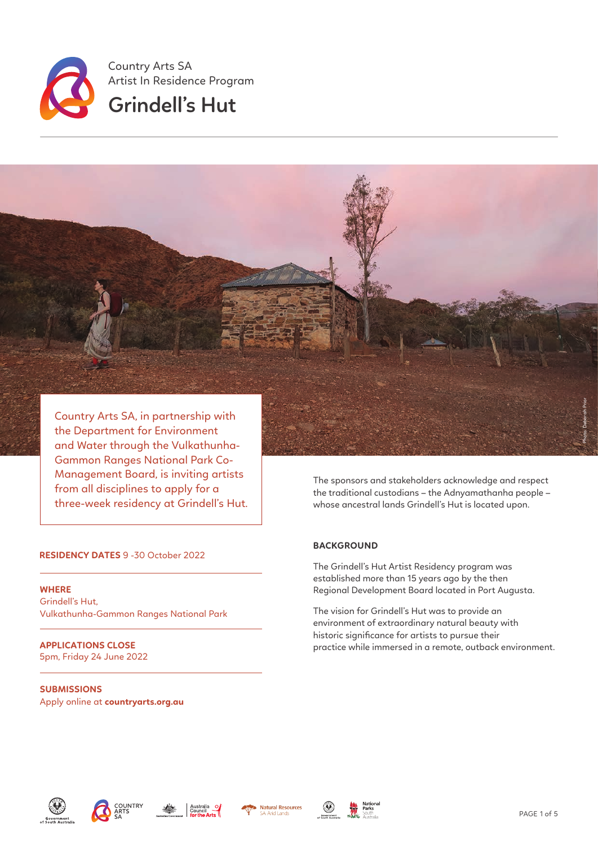

Country Arts SA, in partnership with the Department for Environment and Water through the Vulkathunha-Gammon Ranges National Park Co-Management Board, is inviting artists from all disciplines to apply for a three-week residency at Grindell's Hut.

#### **RESIDENCY DATES** 9 -30 October 2022

**WHERE**  Grindell's Hut, Vulkathunha-Gammon Ranges National Park

**APPLICATIONS CLOSE**  5pm, Friday 24 June 2022

**SUBMISSIONS**  Apply online at **countryarts.org.au** The sponsors and stakeholders acknowledge and respect the traditional custodians – the Adnyamathanha people – whose ancestral lands Grindell's Hut is located upon.

## **BACKGROUND**

The Grindell's Hut Artist Residency program was established more than 15 years ago by the then Regional Development Board located in Port Augusta.

The vision for Grindell's Hut was to provide an environment of extraordinary natural beauty with historic significance for artists to pursue their practice while immersed in a remote, outback environment.













Photo: Deborah Prior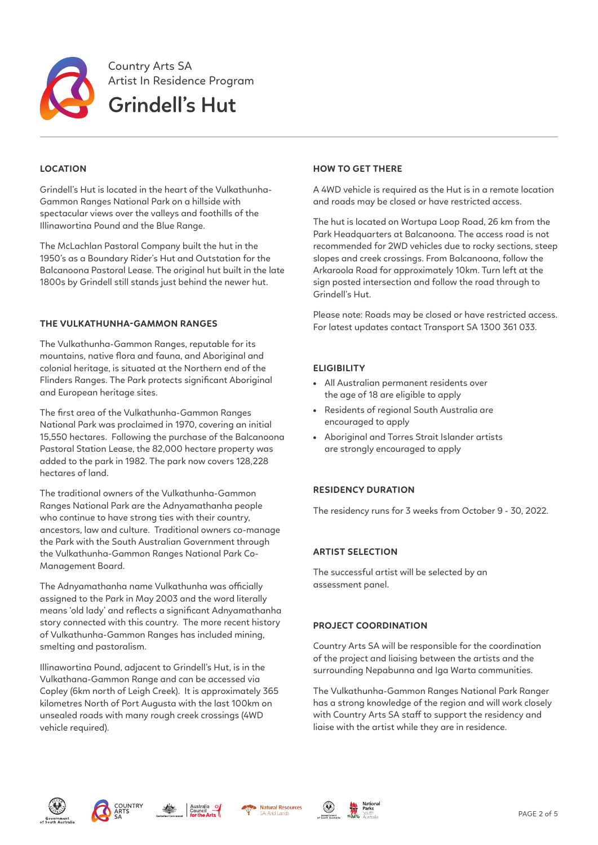

# **LOCATION**

Grindell's Hut is located in the heart of the Vulkathunha-Gammon Ranges National Park on a hillside with spectacular views over the valleys and foothills of the Illinawortina Pound and the Blue Range.

The McLachlan Pastoral Company built the hut in the 1950's as a Boundary Rider's Hut and Outstation for the Balcanoona Pastoral Lease. The original hut built in the late 1800s by Grindell still stands just behind the newer hut.

### **THE VULKATHUNHA-GAMMON RANGES**

The Vulkathunha-Gammon Ranges, reputable for its mountains, native flora and fauna, and Aboriginal and colonial heritage, is situated at the Northern end of the Flinders Ranges. The Park protects significant Aboriginal and European heritage sites.

The first area of the Vulkathunha-Gammon Ranges National Park was proclaimed in 1970, covering an initial 15,550 hectares. Following the purchase of the Balcanoona Pastoral Station Lease, the 82,000 hectare property was added to the park in 1982. The park now covers 128,228 hectares of land.

The traditional owners of the Vulkathunha-Gammon Ranges National Park are the Adnyamathanha people who continue to have strong ties with their country, ancestors, law and culture. Traditional owners co-manage the Park with the South Australian Government through the Vulkathunha-Gammon Ranges National Park Co-Management Board.

The Adnyamathanha name Vulkathunha was officially assigned to the Park in May 2003 and the word literally means 'old lady' and reflects a significant Adnyamathanha story connected with this country. The more recent history of Vulkathunha-Gammon Ranges has included mining, smelting and pastoralism.

Illinawortina Pound, adjacent to Grindell's Hut, is in the Vulkathana-Gammon Range and can be accessed via Copley (6km north of Leigh Creek). It is approximately 365 kilometres North of Port Augusta with the last 100km on unsealed roads with many rough creek crossings (4WD vehicle required).

### **HOW TO GET THERE**

A 4WD vehicle is required as the Hut is in a remote location and roads may be closed or have restricted access.

The hut is located on Wortupa Loop Road, 26 km from the Park Headquarters at Balcanoona. The access road is not recommended for 2WD vehicles due to rocky sections, steep slopes and creek crossings. From Balcanoona, follow the Arkaroola Road for approximately 10km. Turn left at the sign posted intersection and follow the road through to Grindell's Hut.

Please note: Roads may be closed or have restricted access. For latest updates contact Transport SA 1300 361 033.

## **ELIGIBILITY**

- All Australian permanent residents over the age of 18 are eligible to apply
- Residents of regional South Australia are encouraged to apply
- Aboriginal and Torres Strait Islander artists are strongly encouraged to apply

### **RESIDENCY DURATION**

The residency runs for 3 weeks from October 9 - 30, 2022.

### **ARTIST SELECTION**

The successful artist will be selected by an assessment panel.

### **PROJECT COORDINATION**

Country Arts SA will be responsible for the coordination of the project and liaising between the artists and the surrounding Nepabunna and Iga Warta communities.

The Vulkathunha-Gammon Ranges National Park Ranger has a strong knowledge of the region and will work closely with Country Arts SA staff to support the residency and liaise with the artist while they are in residence.











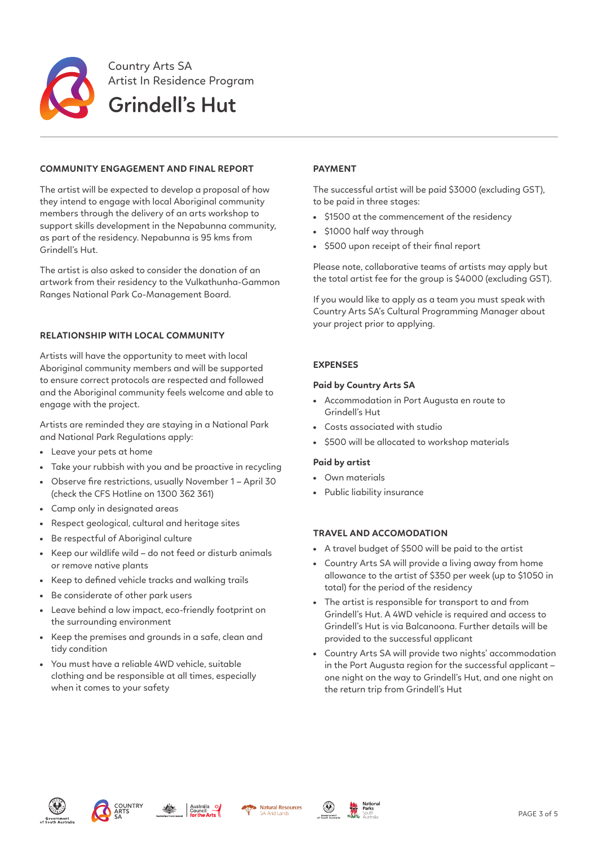

## **COMMUNITY ENGAGEMENT AND FINAL REPORT**

The artist will be expected to develop a proposal of how they intend to engage with local Aboriginal community members through the delivery of an arts workshop to support skills development in the Nepabunna community, as part of the residency. Nepabunna is 95 kms from Grindell's Hut.

The artist is also asked to consider the donation of an artwork from their residency to the Vulkathunha-Gammon Ranges National Park Co-Management Board.

## **RELATIONSHIP WITH LOCAL COMMUNITY**

Artists will have the opportunity to meet with local Aboriginal community members and will be supported to ensure correct protocols are respected and followed and the Aboriginal community feels welcome and able to engage with the project.

Artists are reminded they are staying in a National Park and National Park Regulations apply:

- Leave your pets at home
- Take your rubbish with you and be proactive in recycling
- Observe fire restrictions, usually November 1 April 30 (check the CFS Hotline on 1300 362 361)
- Camp only in designated areas
- Respect geological, cultural and heritage sites
- Be respectful of Aboriginal culture
- Keep our wildlife wild do not feed or disturb animals or remove native plants
- Keep to defined vehicle tracks and walking trails
- Be considerate of other park users
- Leave behind a low impact, eco-friendly footprint on the surrounding environment
- Keep the premises and grounds in a safe, clean and tidy condition
- You must have a reliable 4WD vehicle, suitable clothing and be responsible at all times, especially when it comes to your safety

# **PAYMENT**

The successful artist will be paid \$3000 (excluding GST), to be paid in three stages:

- \$1500 at the commencement of the residency
- \$1000 half way through
- \$500 upon receipt of their final report

Please note, collaborative teams of artists may apply but the total artist fee for the group is \$4000 (excluding GST).

If you would like to apply as a team you must speak with Country Arts SA's Cultural Programming Manager about your project prior to applying.

## **EXPENSES**

## **Paid by Country Arts SA**

- Accommodation in Port Augusta en route to Grindell's Hut
- Costs associated with studio
- \$500 will be allocated to workshop materials

### **Paid by artist**

- Own materials
- Public liability insurance

# **TRAVEL AND ACCOMODATION**

- A travel budget of \$500 will be paid to the artist
- Country Arts SA will provide a living away from home allowance to the artist of \$350 per week (up to \$1050 in total) for the period of the residency
- The artist is responsible for transport to and from Grindell's Hut. A 4WD vehicle is required and access to Grindell's Hut is via Balcanoona. Further details will be provided to the successful applicant
- Country Arts SA will provide two nights' accommodation in the Port Augusta region for the successful applicant – one night on the way to Grindell's Hut, and one night on the return trip from Grindell's Hut









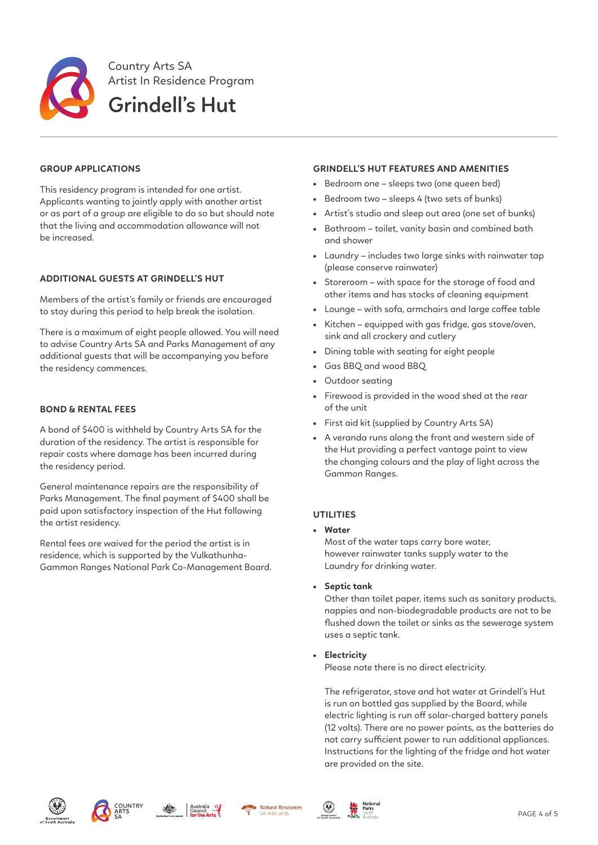

## **GROUP APPLICATIONS**

This residency program is intended for one artist. Applicants wanting to jointly apply with another artist or as part of a group are eligible to do so but should note that the living and accommodation allowance will not be increased.

## **ADDITIONAL GUESTS AT GRINDELL'S HUT**

Members of the artist's family or friends are encouraged to stay during this period to help break the isolation.

There is a maximum of eight people allowed. You will need to advise Country Arts SA and Parks Management of any additional guests that will be accompanying you before the residency commences.

### **BOND & RENTAL FEES**

A bond of \$400 is withheld by Country Arts SA for the duration of the residency. The artist is responsible for repair costs where damage has been incurred during the residency period.

General maintenance repairs are the responsibility of Parks Management. The final payment of \$400 shall be paid upon satisfactory inspection of the Hut following the artist residency.

Rental fees are waived for the period the artist is in residence, which is supported by the Vulkathunha-Gammon Ranges National Park Co-Management Board.

#### **GRINDELL'S HUT FEATURES AND AMENITIES**

- Bedroom one sleeps two (one queen bed)
- Bedroom two sleeps 4 (two sets of bunks)
- Artist's studio and sleep out area (one set of bunks)
- Bathroom toilet, vanity basin and combined bath and shower
- Laundry includes two large sinks with rainwater tap (please conserve rainwater)
- Storeroom with space for the storage of food and other items and has stocks of cleaning equipment
- Lounge with sofa, armchairs and large coffee table
- Kitchen equipped with gas fridge, gas stove/oven, sink and all crockery and cutlery
- Dining table with seating for eight people
- Gas BBQ and wood BBQ
- Outdoor seating
- Firewood is provided in the wood shed at the rear of the unit
- First aid kit (supplied by Country Arts SA)
- A veranda runs along the front and western side of the Hut providing a perfect vantage point to view the changing colours and the play of light across the Gammon Ranges.

### **UTILITIES**

• **Water**

Most of the water taps carry bore water, however rainwater tanks supply water to the Laundry for drinking water.

• **Septic tank**

Other than toilet paper, items such as sanitary products, nappies and non-biodegradable products are not to be flushed down the toilet or sinks as the sewerage system uses a septic tank.

• **Electricity**

Please note there is no direct electricity.

The refrigerator, stove and hot water at Grindell's Hut is run on bottled gas supplied by the Board, while electric lighting is run off solar-charged battery panels (12 volts). There are no power points, as the batteries do not carry sufficient power to run additional appliances. Instructions for the lighting of the fridge and hot water are provided on the site.